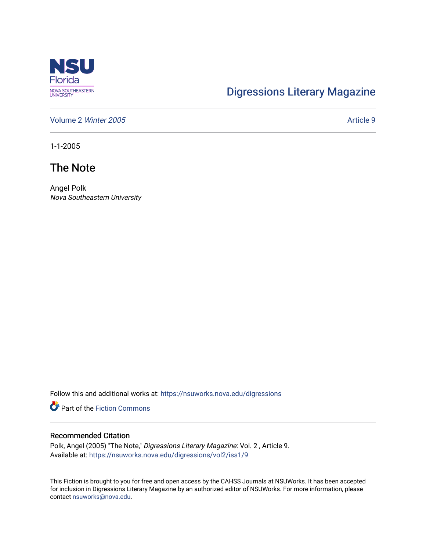

## [Digressions Literary Magazine](https://nsuworks.nova.edu/digressions)

[Volume 2](https://nsuworks.nova.edu/digressions/vol2) Winter 2005 Article 9

1-1-2005

## The Note

Angel Polk Nova Southeastern University

Follow this and additional works at: [https://nsuworks.nova.edu/digressions](https://nsuworks.nova.edu/digressions?utm_source=nsuworks.nova.edu%2Fdigressions%2Fvol2%2Fiss1%2F9&utm_medium=PDF&utm_campaign=PDFCoverPages) 

**Part of the Fiction Commons** 

## Recommended Citation

Polk, Angel (2005) "The Note," Digressions Literary Magazine: Vol. 2 , Article 9. Available at: [https://nsuworks.nova.edu/digressions/vol2/iss1/9](https://nsuworks.nova.edu/digressions/vol2/iss1/9?utm_source=nsuworks.nova.edu%2Fdigressions%2Fvol2%2Fiss1%2F9&utm_medium=PDF&utm_campaign=PDFCoverPages) 

This Fiction is brought to you for free and open access by the CAHSS Journals at NSUWorks. It has been accepted for inclusion in Digressions Literary Magazine by an authorized editor of NSUWorks. For more information, please contact [nsuworks@nova.edu.](mailto:nsuworks@nova.edu)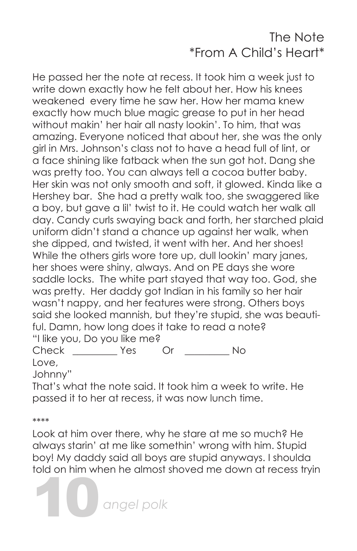## The Note \*From A Child's Heart\*

He passed her the note at recess. It took him a week just to write down exactly how he felt about her. How his knees weakened every time he saw her. How her mama knew exactly how much blue magic grease to put in her head without makin' her hair all nasty lookin'. To him, that was amazing. Everyone noticed that about her, she was the only girl in Mrs. Johnson's class not to have a head full of lint, or a face shining like fatback when the sun got hot. Dang she was pretty too. You can always tell a cocoa butter baby. Her skin was not only smooth and soft, it glowed. Kinda like a Hershey bar. She had a pretty walk too, she swaggered like a boy, but gave a lil' twist to it. He could watch her walk all day. Candy curls swaying back and forth, her starched plaid uniform didn't stand a chance up against her walk, when she dipped, and twisted, it went with her. And her shoes! While the others girls wore tore up, dull lookin' mary janes, her shoes were shiny, always. And on PE days she wore saddle locks. The white part stayed that way too. God, she was pretty. Her daddy got Indian in his family so her hair wasn't nappy, and her features were strong. Others boys said she looked mannish, but they're stupid, she was beautiful. Damn, how long does it take to read a note? "I like you, Do you like me? Check Yes Or No Love,

Johnny"

That's what the note said. It took him a week to write. He passed it to her at recess, it was now lunch time.

\*\*\*\*

Look at him over there, why he stare at me so much? He always starin' at me like somethin' wrong with him. Stupid boy! My daddy said all boys are stupid anyways. I shoulda told on him when he almost shoved me down at recess tryin